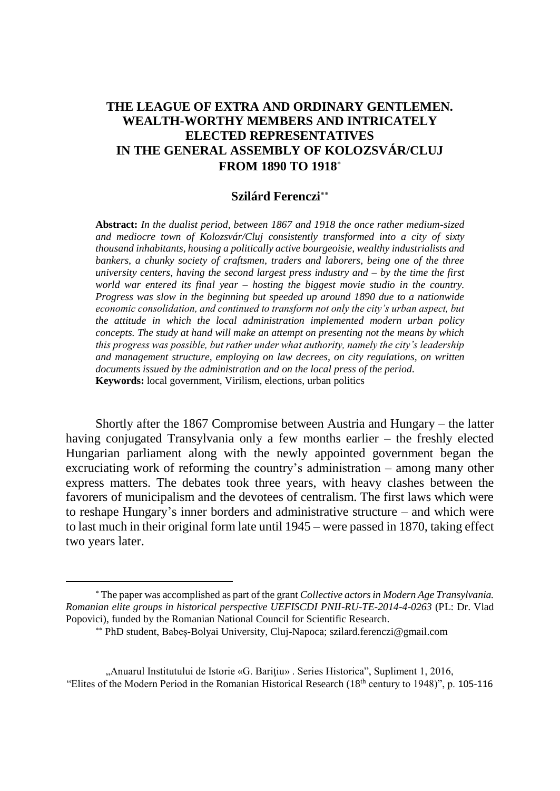# **THE LEAGUE OF EXTRA AND ORDINARY GENTLEMEN. WEALTH-WORTHY MEMBERS AND INTRICATELY ELECTED REPRESENTATIVES IN THE GENERAL ASSEMBLY OF KOLOZSVÁR/CLUJ FROM 1890 TO 1918**

## **Szilárd Ferenczi**

**Abstract:** *In the dualist period, between 1867 and 1918 the once rather medium-sized and mediocre town of Kolozsvár/Cluj consistently transformed into a city of sixty thousand inhabitants, housing a politically active bourgeoisie, wealthy industrialists and bankers, a chunky society of craftsmen, traders and laborers, being one of the three university centers, having the second largest press industry and – by the time the first world war entered its final year – hosting the biggest movie studio in the country. Progress was slow in the beginning but speeded up around 1890 due to a nationwide economic consolidation, and continued to transform not only the city's urban aspect, but the attitude in which the local administration implemented modern urban policy concepts. The study at hand will make an attempt on presenting not the means by which this progress was possible, but rather under what authority, namely the city's leadership and management structure, employing on law decrees, on city regulations, on written documents issued by the administration and on the local press of the period.* **Keywords:** local government, Virilism, elections, urban politics

Shortly after the 1867 Compromise between Austria and Hungary – the latter having conjugated Transylvania only a few months earlier – the freshly elected Hungarian parliament along with the newly appointed government began the excruciating work of reforming the country's administration – among many other express matters. The debates took three years, with heavy clashes between the favorers of municipalism and the devotees of centralism. The first laws which were to reshape Hungary's inner borders and administrative structure – and which were to last much in their original form late until 1945 – were passed in 1870, taking effect two years later.

The paper was accomplished as part of the grant *Collective actors in Modern Age Transylvania. Romanian elite groups in historical perspective UEFISCDI PNII-RU-TE-2014-4-0263* (PL: Dr. Vlad Popovici), funded by the Romanian National Council for Scientific Research.

PhD student, Babeș-Bolyai University, Cluj-Napoca; szilard.ferenczi@gmail.com

<sup>&</sup>quot;Anuarul Institutului de Istorie «G. Bariţiu» . Series Historica", Supliment 1, 2016, "Elites of the Modern Period in the Romanian Historical Research (18th century to 1948)", p. 105-116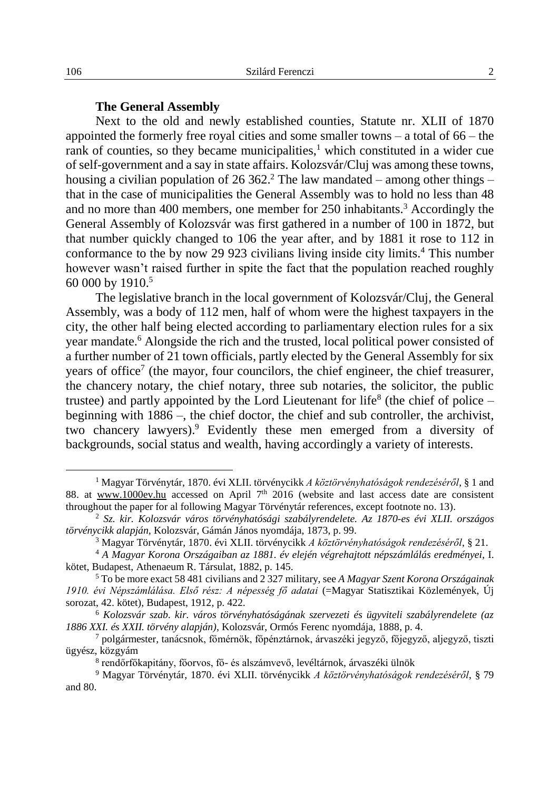## **The General Assembly**

Next to the old and newly established counties, Statute nr. XLII of 1870 appointed the formerly free royal cities and some smaller towns – a total of 66 – the rank of counties, so they became municipalities, $\frac{1}{1}$  which constituted in a wider cue of self-government and a say in state affairs. Kolozsvár/Cluj was among these towns, housing a civilian population of 26 362. <sup>2</sup> The law mandated – among other things – that in the case of municipalities the General Assembly was to hold no less than 48 and no more than 400 members, one member for 250 inhabitants.<sup>3</sup> Accordingly the General Assembly of Kolozsvár was first gathered in a number of 100 in 1872, but that number quickly changed to 106 the year after, and by 1881 it rose to 112 in conformance to the by now 29 923 civilians living inside city limits.<sup>4</sup> This number however wasn't raised further in spite the fact that the population reached roughly 60 000 by 1910.<sup>5</sup>

The legislative branch in the local government of Kolozsvár/Cluj, the General Assembly, was a body of 112 men, half of whom were the highest taxpayers in the city, the other half being elected according to parliamentary election rules for a six year mandate.<sup>6</sup> Alongside the rich and the trusted, local political power consisted of a further number of 21 town officials, partly elected by the General Assembly for six years of office<sup>7</sup> (the mayor, four councilors, the chief engineer, the chief treasurer, the chancery notary, the chief notary, three sub notaries, the solicitor, the public trustee) and partly appointed by the Lord Lieutenant for life<sup>8</sup> (the chief of police  $$ beginning with 1886 –, the chief doctor, the chief and sub controller, the archivist, two chancery lawyers).<sup>9</sup> Evidently these men emerged from a diversity of backgrounds, social status and wealth, having accordingly a variety of interests.

<sup>1</sup> Magyar Törvénytár, 1870. évi XLII. törvénycikk *A köztörvényhatóságok rendezéséről*, § 1 and 88. at www.1000ev.hu accessed on April  $7<sup>th</sup>$  2016 (website and last access date are consistent throughout the paper for al following Magyar Törvénytár references, except footnote no. 13).

<sup>2</sup> *Sz. kir. Kolozsvár város törvényhatósági szabályrendelete. Az 1870-es évi XLII. országos törvénycikk alapján,* Kolozsvár, Gámán János nyomdája, 1873, p. 99.

<sup>3</sup> Magyar Törvénytár, 1870. évi XLII. törvénycikk *A köztörvényhatóságok rendezéséről*, § 21.

<sup>4</sup> *A Magyar Korona Országaiban az 1881. év elején végrehajtott népszámlálás eredményei*, I. kötet, Budapest, Athenaeum R. Társulat, 1882, p. 145.

<sup>5</sup> To be more exact 58 481 civilians and 2 327 military, see *A Magyar Szent Korona Országainak 1910. évi Népszámlálása. Első rész: A népesség fő adatai* (=Magyar Statisztikai Közlemények, Új sorozat, 42. kötet), Budapest, 1912, p. 422.

<sup>6</sup> *Kolozsvár szab. kir. város törvényhatóságának szervezeti és ügyviteli szabályrendelete (az 1886 XXI. és XXII. törvény alapján)*, Kolozsvár, Ormós Ferenc nyomdája, 1888, p. 4.

<sup>7</sup> polgármester, tanácsnok, főmérnök, főpénztárnok, árvaszéki jegyző, főjegyző, aljegyző, tiszti ügyész, közgyám

<sup>8</sup> rendőrfőkapitány, főorvos, fő- és alszámvevő, levéltárnok, árvaszéki ülnök

<sup>9</sup> Magyar Törvénytár, 1870. évi XLII. törvénycikk *A köztörvényhatóságok rendezéséről*, § 79 and 80.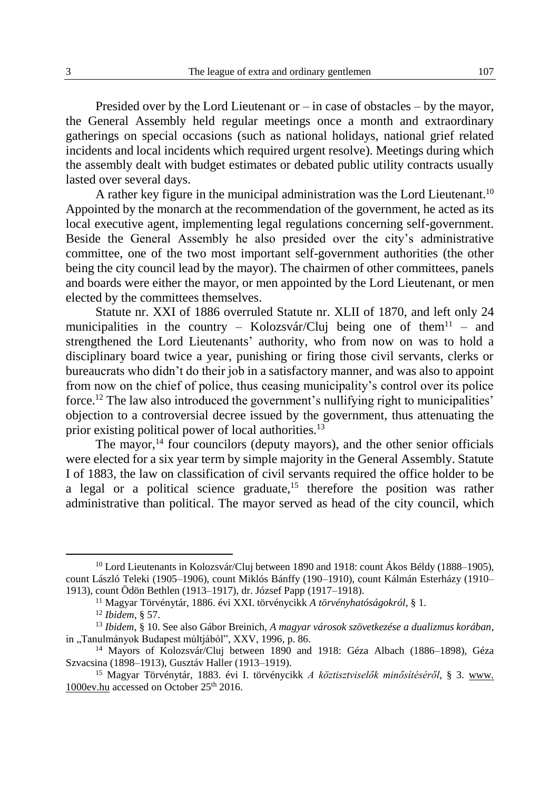Presided over by the Lord Lieutenant or – in case of obstacles – by the mayor, the General Assembly held regular meetings once a month and extraordinary gatherings on special occasions (such as national holidays, national grief related incidents and local incidents which required urgent resolve). Meetings during which the assembly dealt with budget estimates or debated public utility contracts usually lasted over several days.

A rather key figure in the municipal administration was the Lord Lieutenant.<sup>10</sup> Appointed by the monarch at the recommendation of the government, he acted as its local executive agent, implementing legal regulations concerning self-government. Beside the General Assembly he also presided over the city's administrative committee, one of the two most important self-government authorities (the other being the city council lead by the mayor). The chairmen of other committees, panels and boards were either the mayor, or men appointed by the Lord Lieutenant, or men elected by the committees themselves.

Statute nr. XXI of 1886 overruled Statute nr. XLII of 1870, and left only 24 municipalities in the country – Kolozsvár/Cluj being one of them<sup>11</sup> – and strengthened the Lord Lieutenants' authority, who from now on was to hold a disciplinary board twice a year, punishing or firing those civil servants, clerks or bureaucrats who didn't do their job in a satisfactory manner, and was also to appoint from now on the chief of police, thus ceasing municipality's control over its police force. <sup>12</sup> The law also introduced the government's nullifying right to municipalities' objection to a controversial decree issued by the government, thus attenuating the prior existing political power of local authorities.<sup>13</sup>

The mayor, $<sup>14</sup>$  four councilors (deputy mayors), and the other senior officials</sup> were elected for a six year term by simple majority in the General Assembly. Statute I of 1883, the law on classification of civil servants required the office holder to be a legal or a political science graduate,<sup>15</sup> therefore the position was rather administrative than political. The mayor served as head of the city council, which

<sup>&</sup>lt;sup>10</sup> Lord Lieutenants in Kolozsvár/Cluj between 1890 and 1918: count Ákos Béldy (1888–1905), count László Teleki (1905–1906), count Miklós Bánffy (190–1910), count Kálmán Esterházy (1910– 1913), count Ödön Bethlen (1913–1917), dr. József Papp (1917–1918).

<sup>11</sup> Magyar Törvénytár, 1886. évi XXI. törvénycikk *A törvényhatóságokról*, § 1.

<sup>12</sup> *Ibidem*, § 57.

<sup>13</sup> *Ibidem*, § 10. See also Gábor Breinich, *A magyar városok szövetkezése a dualizmus korában*, in "Tanulmányok Budapest múltjából", XXV, 1996, p. 86.

<sup>14</sup> Mayors of Kolozsvár/Cluj between 1890 and 1918: Géza Albach (1886–1898), Géza Szvacsina (1898–1913), Gusztáv Haller (1913–1919).

<sup>15</sup> Magyar Törvénytár, 1883. évi I. törvénycikk *A köztisztviselők minősítéséről*, § 3. www. 1000ev.hu accessed on October 25th 2016.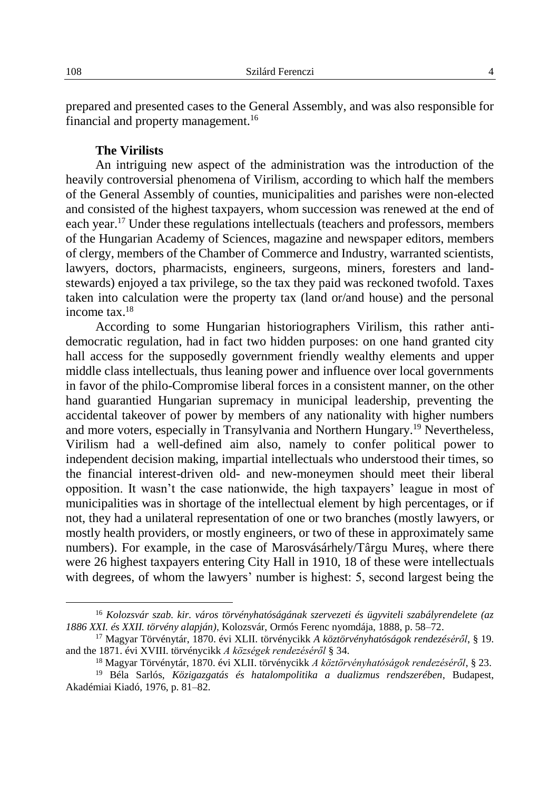prepared and presented cases to the General Assembly, and was also responsible for financial and property management.<sup>16</sup>

## **The Virilists**

An intriguing new aspect of the administration was the introduction of the heavily controversial phenomena of Virilism, according to which half the members of the General Assembly of counties, municipalities and parishes were non-elected and consisted of the highest taxpayers, whom succession was renewed at the end of each year.<sup>17</sup> Under these regulations intellectuals (teachers and professors, members of the Hungarian Academy of Sciences, magazine and newspaper editors, members of clergy, members of the Chamber of Commerce and Industry, warranted scientists, lawyers, doctors, pharmacists, engineers, surgeons, miners, foresters and landstewards) enjoyed a tax privilege, so the tax they paid was reckoned twofold. Taxes taken into calculation were the property tax (land or/and house) and the personal income tax $18$ 

According to some Hungarian historiographers Virilism, this rather antidemocratic regulation, had in fact two hidden purposes: on one hand granted city hall access for the supposedly government friendly wealthy elements and upper middle class intellectuals, thus leaning power and influence over local governments in favor of the philo-Compromise liberal forces in a consistent manner, on the other hand guarantied Hungarian supremacy in municipal leadership, preventing the accidental takeover of power by members of any nationality with higher numbers and more voters, especially in Transylvania and Northern Hungary.<sup>19</sup> Nevertheless, Virilism had a well-defined aim also, namely to confer political power to independent decision making, impartial intellectuals who understood their times, so the financial interest-driven old- and new-moneymen should meet their liberal opposition. It wasn't the case nationwide, the high taxpayers' league in most of municipalities was in shortage of the intellectual element by high percentages, or if not, they had a unilateral representation of one or two branches (mostly lawyers, or mostly health providers, or mostly engineers, or two of these in approximately same numbers). For example, in the case of Marosvásárhely/Târgu Mureș, where there were 26 highest taxpayers entering City Hall in 1910, 18 of these were intellectuals with degrees, of whom the lawyers' number is highest: 5, second largest being the

<sup>16</sup> *Kolozsvár szab. kir. város törvényhatóságának szervezeti és ügyviteli szabályrendelete (az 1886 XXI. és XXII. törvény alapján)*, Kolozsvár, Ormós Ferenc nyomdája, 1888, p. 58–72.

<sup>17</sup> Magyar Törvénytár, 1870. évi XLII. törvénycikk *A köztörvényhatóságok rendezéséről*, § 19. and the 1871. évi XVIII. törvénycikk *A községek rendezéséről* § 34.

<sup>18</sup> Magyar Törvénytár, 1870. évi XLII. törvénycikk *A köztörvényhatóságok rendezéséről*, § 23.

<sup>19</sup> Béla Sarlós, *Közigazgatás és hatalompolitika a dualizmus rendszerében*, Budapest, Akadémiai Kiadó, 1976, p. 81–82.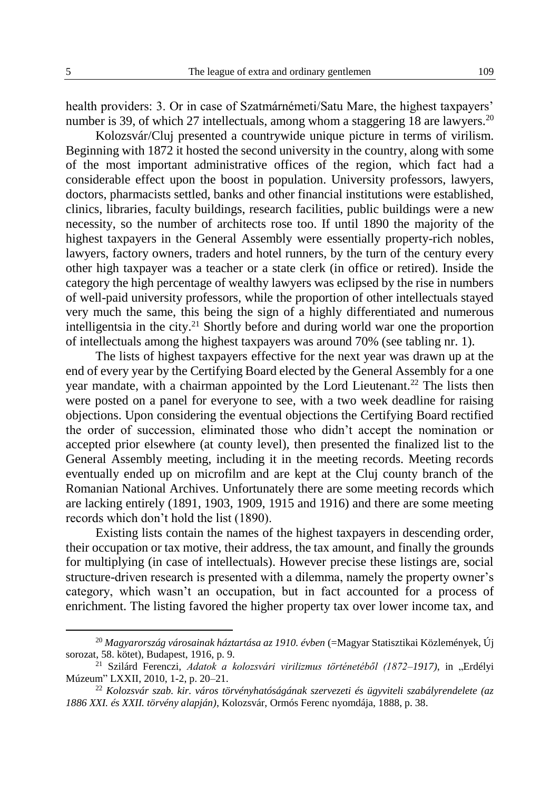health providers: 3. Or in case of Szatmárnémeti/Satu Mare, the highest taxpayers' number is 39, of which 27 intellectuals, among whom a staggering 18 are lawyers.<sup>20</sup>

Kolozsvár/Cluj presented a countrywide unique picture in terms of virilism. Beginning with 1872 it hosted the second university in the country, along with some of the most important administrative offices of the region, which fact had a considerable effect upon the boost in population. University professors, lawyers, doctors, pharmacists settled, banks and other financial institutions were established, clinics, libraries, faculty buildings, research facilities, public buildings were a new necessity, so the number of architects rose too. If until 1890 the majority of the highest taxpayers in the General Assembly were essentially property-rich nobles, lawyers, factory owners, traders and hotel runners, by the turn of the century every other high taxpayer was a teacher or a state clerk (in office or retired). Inside the category the high percentage of wealthy lawyers was eclipsed by the rise in numbers of well-paid university professors, while the proportion of other intellectuals stayed very much the same, this being the sign of a highly differentiated and numerous intelligentsia in the city.<sup>21</sup> Shortly before and during world war one the proportion of intellectuals among the highest taxpayers was around 70% (see tabling nr. 1).

The lists of highest taxpayers effective for the next year was drawn up at the end of every year by the Certifying Board elected by the General Assembly for a one year mandate, with a chairman appointed by the Lord Lieutenant.<sup>22</sup> The lists then were posted on a panel for everyone to see, with a two week deadline for raising objections. Upon considering the eventual objections the Certifying Board rectified the order of succession, eliminated those who didn't accept the nomination or accepted prior elsewhere (at county level), then presented the finalized list to the General Assembly meeting, including it in the meeting records. Meeting records eventually ended up on microfilm and are kept at the Cluj county branch of the Romanian National Archives. Unfortunately there are some meeting records which are lacking entirely (1891, 1903, 1909, 1915 and 1916) and there are some meeting records which don't hold the list (1890).

Existing lists contain the names of the highest taxpayers in descending order, their occupation or tax motive, their address, the tax amount, and finally the grounds for multiplying (in case of intellectuals). However precise these listings are, social structure-driven research is presented with a dilemma, namely the property owner's category, which wasn't an occupation, but in fact accounted for a process of enrichment. The listing favored the higher property tax over lower income tax, and

<sup>20</sup> *Magyarország városainak háztartása az 1910. évben* (=Magyar Statisztikai Közlemények, Új sorozat, 58. kötet), Budapest, 1916, p. 9.

<sup>&</sup>lt;sup>21</sup> Szilárd Ferenczi, Adatok a kolozsvári virilizmus történetéből (1872–1917), in "Erdélyi Múzeum" LXXII, 2010, 1-2, p. 20–21.

<sup>22</sup> *Kolozsvár szab. kir. város törvényhatóságának szervezeti és ügyviteli szabályrendelete (az 1886 XXI. és XXII. törvény alapján)*, Kolozsvár, Ormós Ferenc nyomdája, 1888, p. 38.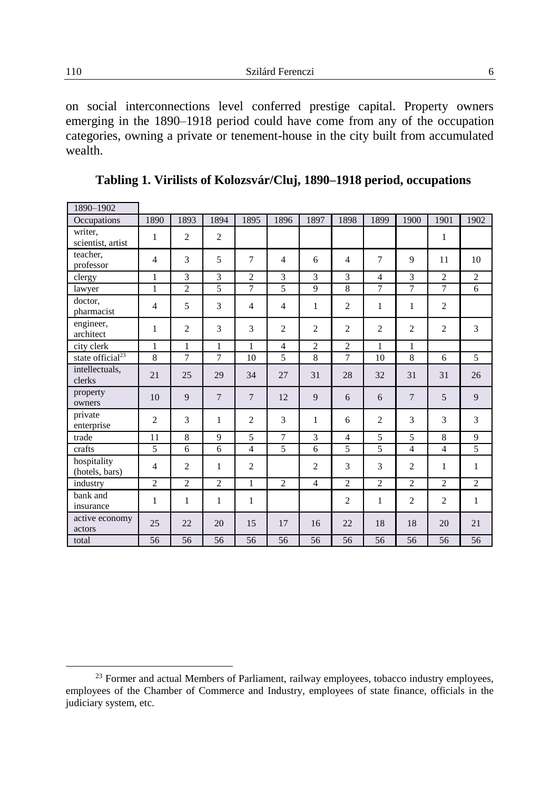on social interconnections level conferred prestige capital. Property owners emerging in the 1890–1918 period could have come from any of the occupation categories, owning a private or tenement-house in the city built from accumulated wealth.

| 1890-1902                     |                |                |                |                |                |                |                |                |                |                |                |
|-------------------------------|----------------|----------------|----------------|----------------|----------------|----------------|----------------|----------------|----------------|----------------|----------------|
| Occupations                   | 1890           | 1893           | 1894           | 1895           | 1896           | 1897           | 1898           | 1899           | 1900           | 1901           | 1902           |
| writer,<br>scientist, artist  | 1              | $\overline{c}$ | $\overline{2}$ |                |                |                |                |                |                | 1              |                |
| teacher.<br>professor         | $\overline{4}$ | 3              | 5              | $\overline{7}$ | $\overline{4}$ | 6              | $\overline{4}$ | $\overline{7}$ | 9              | 11             | 10             |
| clergy                        | 1              | 3              | 3              | $\overline{c}$ | 3              | 3              | 3              | $\overline{4}$ | 3              | $\overline{2}$ | $\overline{2}$ |
| lawyer                        | 1              | $\overline{2}$ | 5              | $\overline{7}$ | 5              | 9              | $\overline{8}$ | 7              | 7              | $\overline{7}$ | 6              |
| doctor,<br>pharmacist         | $\overline{4}$ | 5              | 3              | $\overline{4}$ | $\overline{4}$ | $\mathbf{1}$   | $\overline{2}$ | 1              | $\mathbf{1}$   | $\overline{2}$ |                |
| engineer,<br>architect        | $\mathbf{1}$   | $\overline{2}$ | 3              | 3              | $\overline{2}$ | $\overline{c}$ | $\overline{2}$ | $\overline{2}$ | $\overline{2}$ | $\overline{2}$ | 3              |
| city clerk                    | 1              | $\mathbf{1}$   | $\mathbf{1}$   | $\mathbf{1}$   | $\overline{4}$ | $\overline{c}$ | $\overline{2}$ | 1              | 1              |                |                |
| state official <sup>23</sup>  | $\overline{8}$ | $\overline{7}$ | 7              | 10             | 5              | 8              | $\overline{7}$ | 10             | 8              | 6              | 5              |
| intellectuals,<br>clerks      | 21             | 25             | 29             | 34             | 27             | 31             | 28             | 32             | 31             | 31             | 26             |
| property<br>owners            | 10             | $\overline{9}$ | $\overline{7}$ | $\overline{7}$ | 12             | 9              | 6              | 6              | $\overline{7}$ | 5              | 9              |
| private<br>enterprise         | $\overline{2}$ | 3              | 1              | $\overline{c}$ | 3              | 1              | 6              | $\overline{2}$ | 3              | 3              | 3              |
| trade                         | 11             | 8              | 9              | 5              | $\overline{7}$ | 3              | $\overline{4}$ | 5              | 5              | 8              | 9              |
| crafts                        | 5              | 6              | 6              | $\overline{4}$ | 5              | 6              | 5              | 5              | $\overline{4}$ | $\overline{4}$ | 5              |
| hospitality<br>(hotels, bars) | $\overline{4}$ | $\overline{2}$ | 1              | $\overline{c}$ |                | $\overline{2}$ | 3              | 3              | $\overline{2}$ | 1              | 1              |
| industry                      | $\overline{2}$ | $\overline{c}$ | $\overline{2}$ | $\mathbf{1}$   | $\overline{2}$ | $\overline{4}$ | $\overline{2}$ | $\overline{c}$ | $\overline{c}$ | $\overline{2}$ | $\overline{2}$ |
| bank and<br>insurance         | 1              | 1              | 1              | 1              |                |                | $\overline{2}$ | 1              | $\overline{2}$ | $\overline{2}$ | $\mathbf{1}$   |
| active economy<br>actors      | 25             | 22             | 20             | 15             | 17             | 16             | 22             | 18             | 18             | 20             | 21             |
| total                         | 56             | 56             | 56             | 56             | 56             | 56             | 56             | 56             | 56             | 56             | 56             |

**Tabling 1. Virilists of Kolozsvár/Cluj, 1890–1918 period, occupations**

<sup>&</sup>lt;sup>23</sup> Former and actual Members of Parliament, railway employees, tobacco industry employees, employees of the Chamber of Commerce and Industry, employees of state finance, officials in the judiciary system, etc.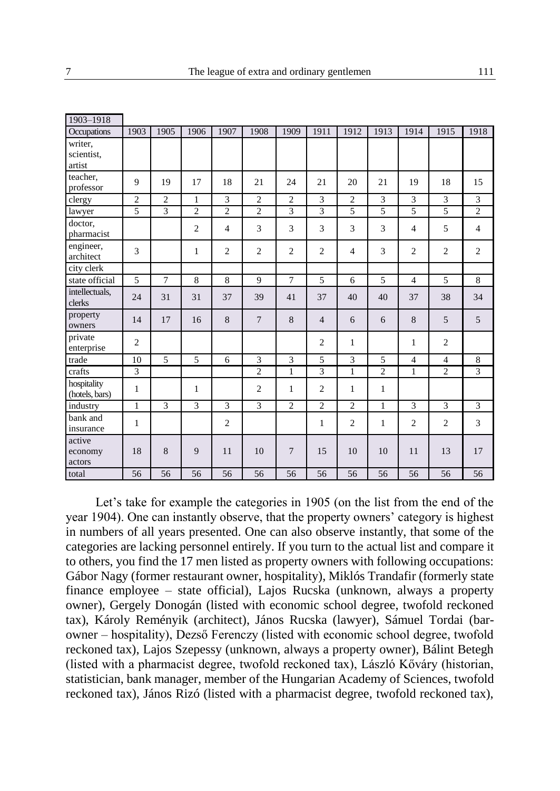| 1903-1918                       |                |                |                |                |                |                |                |                |                |                |                |                |
|---------------------------------|----------------|----------------|----------------|----------------|----------------|----------------|----------------|----------------|----------------|----------------|----------------|----------------|
| Occupations                     | 1903           | 1905           | 1906           | 1907           | 1908           | 1909           | 1911           | 1912           | 1913           | 1914           | 1915           | 1918           |
| writer,<br>scientist,<br>artist |                |                |                |                |                |                |                |                |                |                |                |                |
| teacher,<br>professor           | 9              | 19             | 17             | 18             | 21             | 24             | 21             | 20             | 21             | 19             | 18             | 15             |
| clergy                          | $\overline{2}$ | $\overline{2}$ | $\mathbf{1}$   | $\overline{3}$ | $\overline{2}$ | $\overline{2}$ | 3              | $\overline{c}$ | $\overline{3}$ | 3              | 3              | 3              |
| lawyer                          | 5              | 3              | $\overline{2}$ | $\overline{2}$ | $\overline{2}$ | 3              | 3              | 5              | 5              | 5              | 5              | $\overline{2}$ |
| doctor.<br>pharmacist           |                |                | $\overline{2}$ | $\overline{4}$ | 3              | 3              | 3              | 3              | 3              | $\overline{4}$ | 5              | $\overline{4}$ |
| engineer,<br>architect          | 3              |                | 1              | $\overline{2}$ | $\overline{2}$ | $\overline{2}$ | $\overline{2}$ | $\overline{4}$ | 3              | $\overline{2}$ | $\mathbf{2}$   | $\overline{2}$ |
| city clerk                      |                |                |                |                |                |                |                |                |                |                |                |                |
| state official                  | 5              | $\overline{7}$ | 8              | 8              | 9              | $\overline{7}$ | 5              | 6              | 5              | $\overline{4}$ | 5              | 8              |
| intellectuals,<br>clerks        | 24             | 31             | 31             | 37             | 39             | 41             | 37             | 40             | 40             | 37             | 38             | 34             |
| property<br>owners              | 14             | 17             | 16             | 8              | $\overline{7}$ | 8              | $\overline{4}$ | 6              | 6              | 8              | 5              | 5              |
| private<br>enterprise           | $\overline{2}$ |                |                |                |                |                | $\overline{c}$ | 1              |                | 1              | $\overline{c}$ |                |
| trade                           | 10             | 5              | 5              | 6              | 3              | 3              | 5              | 3              | 5              | $\overline{4}$ | $\overline{4}$ | $\,8\,$        |
| crafts                          | 3              |                |                |                | $\overline{2}$ | 1              | 3              | $\mathbf{1}$   | $\overline{c}$ | $\mathbf{1}$   | $\overline{c}$ | $\overline{3}$ |
| hospitality<br>(hotels, bars)   | 1              |                | 1              |                | $\overline{2}$ | 1              | $\overline{2}$ | 1              | $\mathbf{1}$   |                |                |                |
| industry                        | $\mathbf{1}$   | 3              | 3              | 3              | 3              | $\overline{c}$ | $\overline{2}$ | $\overline{c}$ | $\mathbf{1}$   | 3              | 3              | 3              |
| bank and<br>insurance           | 1              |                |                | $\overline{c}$ |                |                | $\mathbf{1}$   | $\overline{2}$ | $\mathbf{1}$   | 2              | $\overline{c}$ | $\overline{3}$ |
| active<br>economy<br>actors     | 18             | 8              | 9              | 11             | 10             | $\overline{7}$ | 15             | 10             | 10             | 11             | 13             | 17             |
| total                           | 56             | 56             | 56             | 56             | 56             | 56             | 56             | 56             | 56             | 56             | 56             | 56             |

Let's take for example the categories in 1905 (on the list from the end of the year 1904). One can instantly observe, that the property owners' category is highest in numbers of all years presented. One can also observe instantly, that some of the categories are lacking personnel entirely. If you turn to the actual list and compare it to others, you find the 17 men listed as property owners with following occupations: Gábor Nagy (former restaurant owner, hospitality), Miklós Trandafir (formerly state finance employee – state official), Lajos Rucska (unknown, always a property owner), Gergely Donogán (listed with economic school degree, twofold reckoned tax), Károly Reményik (architect), János Rucska (lawyer), Sámuel Tordai (barowner – hospitality), Dezső Ferenczy (listed with economic school degree, twofold reckoned tax), Lajos Szepessy (unknown, always a property owner), Bálint Betegh (listed with a pharmacist degree, twofold reckoned tax), László Kőváry (historian, statistician, bank manager, member of the Hungarian Academy of Sciences, twofold reckoned tax), János Rizó (listed with a pharmacist degree, twofold reckoned tax),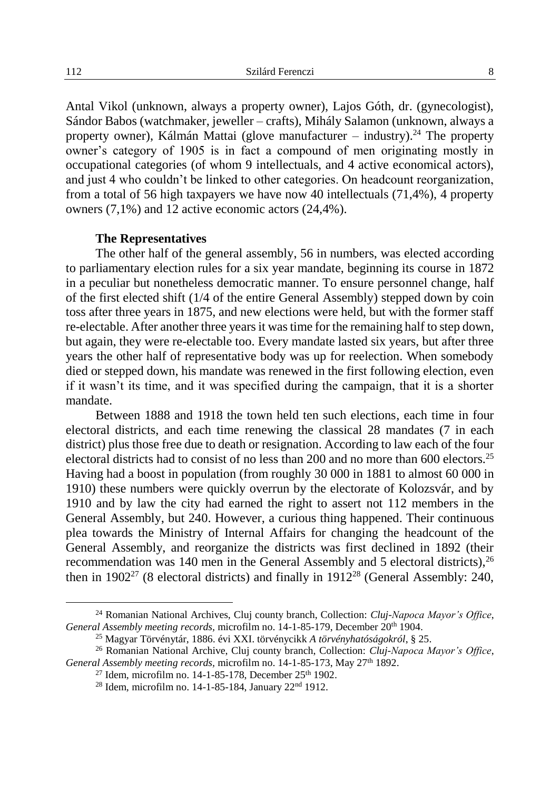Antal Vikol (unknown, always a property owner), Lajos Góth, dr. (gynecologist), Sándor Babos (watchmaker, jeweller – crafts), Mihály Salamon (unknown, always a property owner), Kálmán Mattai (glove manufacturer – industry).<sup>24</sup> The property owner's category of 1905 is in fact a compound of men originating mostly in occupational categories (of whom 9 intellectuals, and 4 active economical actors), and just 4 who couldn't be linked to other categories. On headcount reorganization, from a total of 56 high taxpayers we have now 40 intellectuals (71,4%), 4 property owners (7,1%) and 12 active economic actors (24,4%).

### **The Representatives**

The other half of the general assembly, 56 in numbers, was elected according to parliamentary election rules for a six year mandate, beginning its course in 1872 in a peculiar but nonetheless democratic manner. To ensure personnel change, half of the first elected shift (1/4 of the entire General Assembly) stepped down by coin toss after three years in 1875, and new elections were held, but with the former staff re-electable. After another three years it was time for the remaining half to step down, but again, they were re-electable too. Every mandate lasted six years, but after three years the other half of representative body was up for reelection. When somebody died or stepped down, his mandate was renewed in the first following election, even if it wasn't its time, and it was specified during the campaign, that it is a shorter mandate.

Between 1888 and 1918 the town held ten such elections, each time in four electoral districts, and each time renewing the classical 28 mandates (7 in each district) plus those free due to death or resignation. According to law each of the four electoral districts had to consist of no less than 200 and no more than  $600$  electors.<sup>25</sup> Having had a boost in population (from roughly 30 000 in 1881 to almost 60 000 in 1910) these numbers were quickly overrun by the electorate of Kolozsvár, and by 1910 and by law the city had earned the right to assert not 112 members in the General Assembly, but 240. However, a curious thing happened. Their continuous plea towards the Ministry of Internal Affairs for changing the headcount of the General Assembly, and reorganize the districts was first declined in 1892 (their recommendation was 140 men in the General Assembly and 5 electoral districts),  $^{26}$ then in  $1902^{27}$  (8 electoral districts) and finally in  $1912^{28}$  (General Assembly: 240,

<sup>24</sup> Romanian National Archives, Cluj county branch, Collection: *Cluj-Napoca Mayor's Office*, *General Assembly meeting records,* microfilm no. 14-1-85-179, December 20th 1904.

<sup>25</sup> Magyar Törvénytár, 1886. évi XXI. törvénycikk *A törvényhatóságokról*, § 25.

<sup>26</sup> Romanian National Archive, Cluj county branch, Collection: *Cluj-Napoca Mayor's Office*, *General Assembly meeting records,* microfilm no. 14-1-85-173, May 27th 1892.

<sup>&</sup>lt;sup>27</sup> Idem, microfilm no. 14-1-85-178, December 25<sup>th</sup> 1902.

<sup>28</sup> Idem*,* microfilm no. 14-1-85-184, January 22nd 1912.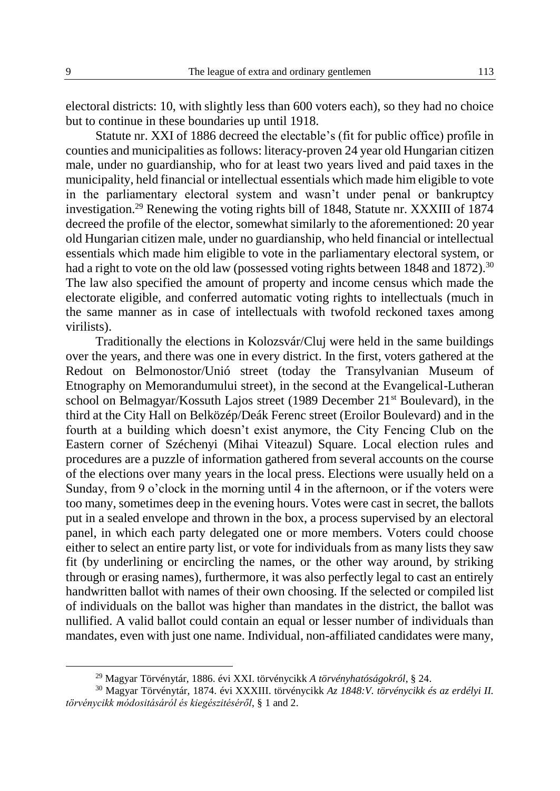electoral districts: 10, with slightly less than 600 voters each), so they had no choice but to continue in these boundaries up until 1918.

Statute nr. XXI of 1886 decreed the electable's (fit for public office) profile in counties and municipalities as follows: literacy-proven 24 year old Hungarian citizen male, under no guardianship, who for at least two years lived and paid taxes in the municipality, held financial or intellectual essentials which made him eligible to vote in the parliamentary electoral system and wasn't under penal or bankruptcy investigation.<sup>29</sup> Renewing the voting rights bill of 1848, Statute nr. XXXIII of 1874 decreed the profile of the elector, somewhat similarly to the aforementioned: 20 year old Hungarian citizen male, under no guardianship, who held financial or intellectual essentials which made him eligible to vote in the parliamentary electoral system, or had a right to vote on the old law (possessed voting rights between 1848 and 1872).<sup>30</sup> The law also specified the amount of property and income census which made the electorate eligible, and conferred automatic voting rights to intellectuals (much in the same manner as in case of intellectuals with twofold reckoned taxes among virilists).

Traditionally the elections in Kolozsvár/Cluj were held in the same buildings over the years, and there was one in every district. In the first, voters gathered at the Redout on Belmonostor/Unió street (today the Transylvanian Museum of Etnography on Memorandumului street), in the second at the Evangelical-Lutheran school on Belmagyar/Kossuth Lajos street (1989 December 21<sup>st</sup> Boulevard), in the third at the City Hall on Belközép/Deák Ferenc street (Eroilor Boulevard) and in the fourth at a building which doesn't exist anymore, the City Fencing Club on the Eastern corner of Széchenyi (Mihai Viteazul) Square. Local election rules and procedures are a puzzle of information gathered from several accounts on the course of the elections over many years in the local press. Elections were usually held on a Sunday, from 9 o'clock in the morning until 4 in the afternoon, or if the voters were too many, sometimes deep in the evening hours. Votes were cast in secret, the ballots put in a sealed envelope and thrown in the box, a process supervised by an electoral panel, in which each party delegated one or more members. Voters could choose either to select an entire party list, or vote for individuals from as many lists they saw fit (by underlining or encircling the names, or the other way around, by striking through or erasing names), furthermore, it was also perfectly legal to cast an entirely handwritten ballot with names of their own choosing. If the selected or compiled list of individuals on the ballot was higher than mandates in the district, the ballot was nullified. A valid ballot could contain an equal or lesser number of individuals than mandates, even with just one name. Individual, non-affiliated candidates were many,

<sup>29</sup> Magyar Törvénytár, 1886. évi XXI. törvénycikk *A törvényhatóságokról*, § 24.

<sup>30</sup> Magyar Törvénytár, 1874. évi XXXIII. törvénycikk *Az 1848:V. törvénycikk és az erdélyi II. törvénycikk módositásáról és kiegészitéséről*, § 1 and 2.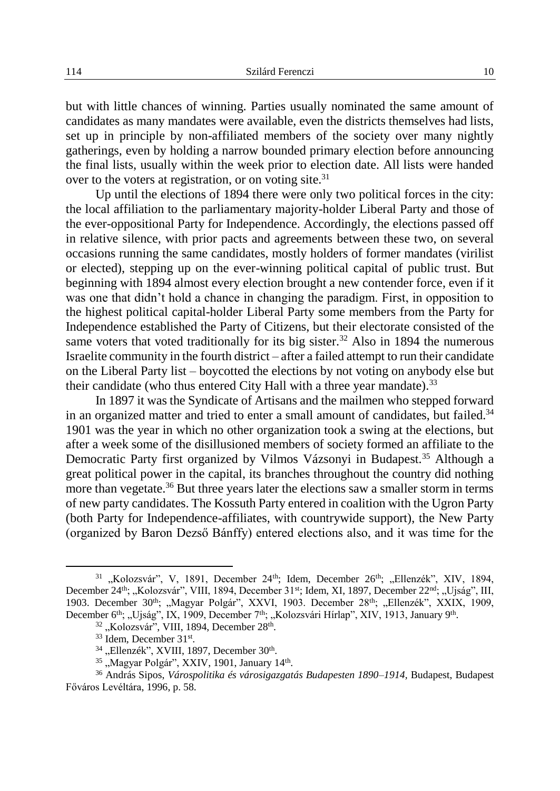but with little chances of winning. Parties usually nominated the same amount of candidates as many mandates were available, even the districts themselves had lists, set up in principle by non-affiliated members of the society over many nightly gatherings, even by holding a narrow bounded primary election before announcing the final lists, usually within the week prior to election date. All lists were handed over to the voters at registration, or on voting site.<sup>31</sup>

Up until the elections of 1894 there were only two political forces in the city: the local affiliation to the parliamentary majority-holder Liberal Party and those of the ever-oppositional Party for Independence. Accordingly, the elections passed off in relative silence, with prior pacts and agreements between these two, on several occasions running the same candidates, mostly holders of former mandates (virilist or elected), stepping up on the ever-winning political capital of public trust. But beginning with 1894 almost every election brought a new contender force, even if it was one that didn't hold a chance in changing the paradigm. First, in opposition to the highest political capital-holder Liberal Party some members from the Party for Independence established the Party of Citizens, but their electorate consisted of the same voters that voted traditionally for its big sister.<sup>32</sup> Also in 1894 the numerous Israelite community in the fourth district – after a failed attempt to run their candidate on the Liberal Party list – boycotted the elections by not voting on anybody else but their candidate (who thus entered City Hall with a three year mandate).<sup>33</sup>

In 1897 it was the Syndicate of Artisans and the mailmen who stepped forward in an organized matter and tried to enter a small amount of candidates, but failed.<sup>34</sup> 1901 was the year in which no other organization took a swing at the elections, but after a week some of the disillusioned members of society formed an affiliate to the Democratic Party first organized by Vilmos Vázsonyi in Budapest.<sup>35</sup> Although a great political power in the capital, its branches throughout the country did nothing more than vegetate.<sup>36</sup> But three years later the elections saw a smaller storm in terms of new party candidates. The Kossuth Party entered in coalition with the Ugron Party (both Party for Independence-affiliates, with countrywide support), the New Party (organized by Baron Dezső Bánffy) entered elections also, and it was time for the

<sup>&</sup>lt;sup>31</sup> "Kolozsvár", V, 1891, December 24<sup>th</sup>; Idem, December 26<sup>th</sup>; "Ellenzék", XIV, 1894, December 24<sup>th</sup>; "Kolozsvár", VIII, 1894, December 31<sup>st</sup>; Idem, XI, 1897, December 22<sup>nd</sup>; "Ujság", III, 1903. December 30<sup>th</sup>; "Magyar Polgár", XXVI, 1903. December 28<sup>th</sup>; "Ellenzék", XXIX, 1909, December 6<sup>th</sup>; "Ujság", IX, 1909, December 7<sup>th</sup>; "Kolozsvári Hírlap", XIV, 1913, January 9<sup>th</sup>.

<sup>&</sup>lt;sup>32</sup> "Kolozsvár", VIII, 1894, December 28<sup>th</sup>.

<sup>&</sup>lt;sup>33</sup> Idem, December 31<sup>st</sup>.

<sup>&</sup>lt;sup>34</sup> "Ellenzék", XVIII, 1897, December 30<sup>th</sup>.

<sup>&</sup>lt;sup>35</sup> "Magyar Polgár", XXIV, 1901, January 14<sup>th</sup>.

<sup>36</sup> András Sipos, *Várospolitika és városigazgatás Budapesten 1890–1914,* Budapest, Budapest Főváros Levéltára, 1996, p. 58.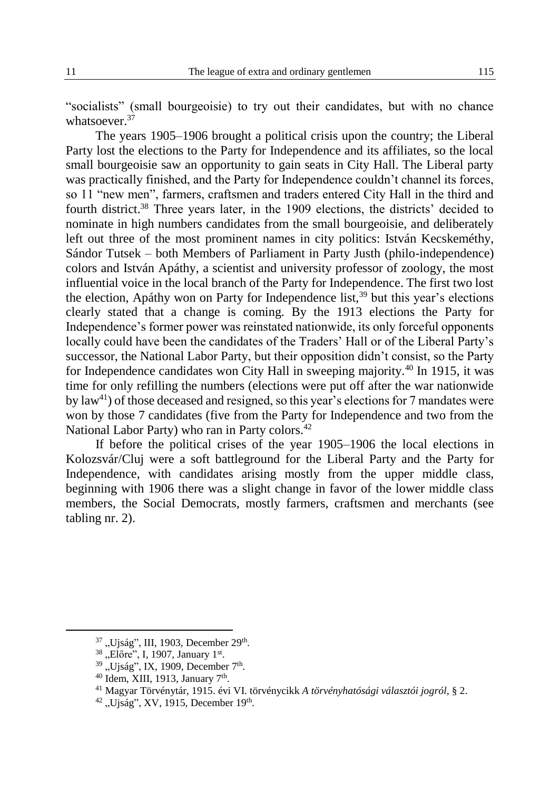"socialists" (small bourgeoisie) to try out their candidates, but with no chance whatsoever.<sup>37</sup>

The years 1905–1906 brought a political crisis upon the country; the Liberal Party lost the elections to the Party for Independence and its affiliates, so the local small bourgeoisie saw an opportunity to gain seats in City Hall. The Liberal party was practically finished, and the Party for Independence couldn't channel its forces, so 11 "new men", farmers, craftsmen and traders entered City Hall in the third and fourth district.<sup>38</sup> Three years later, in the 1909 elections, the districts' decided to nominate in high numbers candidates from the small bourgeoisie, and deliberately left out three of the most prominent names in city politics: István Kecskeméthy, Sándor Tutsek – both Members of Parliament in Party Justh (philo-independence) colors and István Apáthy, a scientist and university professor of zoology, the most influential voice in the local branch of the Party for Independence. The first two lost the election, Apáthy won on Party for Independence  $list<sub>1</sub><sup>39</sup>$  but this year's elections clearly stated that a change is coming. By the 1913 elections the Party for Independence's former power was reinstated nationwide, its only forceful opponents locally could have been the candidates of the Traders' Hall or of the Liberal Party's successor, the National Labor Party, but their opposition didn't consist, so the Party for Independence candidates won City Hall in sweeping majority.<sup>40</sup> In 1915, it was time for only refilling the numbers (elections were put off after the war nationwide by law<sup>41</sup>) of those deceased and resigned, so this year's elections for 7 mandates were won by those 7 candidates (five from the Party for Independence and two from the National Labor Party) who ran in Party colors.<sup>42</sup>

If before the political crises of the year 1905–1906 the local elections in Kolozsvár/Cluj were a soft battleground for the Liberal Party and the Party for Independence, with candidates arising mostly from the upper middle class, beginning with 1906 there was a slight change in favor of the lower middle class members, the Social Democrats, mostly farmers, craftsmen and merchants (see tabling nr. 2).

<sup>&</sup>lt;sup>37</sup> "Ujság", III, 1903, December 29<sup>th</sup>.<br><sup>38</sup> "Előre", I, 1907, January 1<sup>st</sup>.

<sup>&</sup>lt;sup>39</sup> "Ujság", IX, 1909, December 7<sup>th</sup>.

 $40$  Idem, XIII, 1913, January 7<sup>th</sup>.

<sup>41</sup> Magyar Törvénytár, 1915. évi VI. törvénycikk *A törvényhatósági választói jogról*, § 2.

 $42$ , Ujság", XV, 1915, December 19<sup>th</sup>.